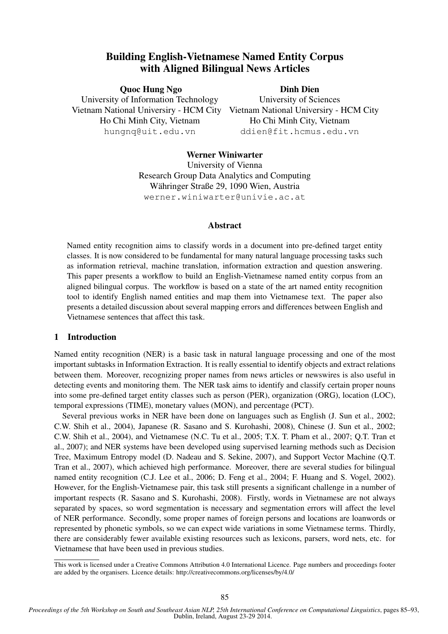# Building English-Vietnamese Named Entity Corpus with Aligned Bilingual News Articles

Quoc Hung Ngo University of Information Technology Vietnam National Universiry - HCM City Vietnam National Universiry - HCM City Ho Chi Minh City, Vietnam hungnq@uit.edu.vn

Dinh Dien

University of Sciences Ho Chi Minh City, Vietnam ddien@fit.hcmus.edu.vn

# Werner Winiwarter

University of Vienna Research Group Data Analytics and Computing Währinger Straße 29, 1090 Wien, Austria werner.winiwarter@univie.ac.at

#### Abstract

Named entity recognition aims to classify words in a document into pre-defined target entity classes. It is now considered to be fundamental for many natural language processing tasks such as information retrieval, machine translation, information extraction and question answering. This paper presents a workflow to build an English-Vietnamese named entity corpus from an aligned bilingual corpus. The workflow is based on a state of the art named entity recognition tool to identify English named entities and map them into Vietnamese text. The paper also presents a detailed discussion about several mapping errors and differences between English and Vietnamese sentences that affect this task.

# 1 Introduction

Named entity recognition (NER) is a basic task in natural language processing and one of the most important subtasks in Information Extraction. It is really essential to identify objects and extract relations between them. Moreover, recognizing proper names from news articles or newswires is also useful in detecting events and monitoring them. The NER task aims to identify and classify certain proper nouns into some pre-defined target entity classes such as person (PER), organization (ORG), location (LOC), temporal expressions (TIME), monetary values (MON), and percentage (PCT).

Several previous works in NER have been done on languages such as English (J. Sun et al., 2002; C.W. Shih et al., 2004), Japanese (R. Sasano and S. Kurohashi, 2008), Chinese (J. Sun et al., 2002; C.W. Shih et al., 2004), and Vietnamese (N.C. Tu et al., 2005; T.X. T. Pham et al., 2007; Q.T. Tran et al., 2007); and NER systems have been developed using supervised learning methods such as Decision Tree, Maximum Entropy model (D. Nadeau and S. Sekine, 2007), and Support Vector Machine (Q.T. Tran et al., 2007), which achieved high performance. Moreover, there are several studies for bilingual named entity recognition (C.J. Lee et al., 2006; D. Feng et al., 2004; F. Huang and S. Vogel, 2002). However, for the English-Vietnamese pair, this task still presents a significant challenge in a number of important respects (R. Sasano and S. Kurohashi, 2008). Firstly, words in Vietnamese are not always separated by spaces, so word segmentation is necessary and segmentation errors will affect the level of NER performance. Secondly, some proper names of foreign persons and locations are loanwords or represented by phonetic symbols, so we can expect wide variations in some Vietnamese terms. Thirdly, there are considerably fewer available existing resources such as lexicons, parsers, word nets, etc. for Vietnamese that have been used in previous studies.

This work is licensed under a Creative Commons Attribution 4.0 International Licence. Page numbers and proceedings footer are added by the organisers. Licence details: http://creativecommons.org/licenses/by/4.0/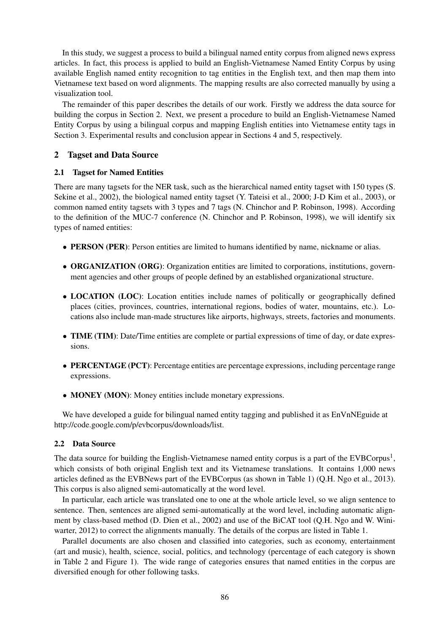In this study, we suggest a process to build a bilingual named entity corpus from aligned news express articles. In fact, this process is applied to build an English-Vietnamese Named Entity Corpus by using available English named entity recognition to tag entities in the English text, and then map them into Vietnamese text based on word alignments. The mapping results are also corrected manually by using a visualization tool.

The remainder of this paper describes the details of our work. Firstly we address the data source for building the corpus in Section 2. Next, we present a procedure to build an English-Vietnamese Named Entity Corpus by using a bilingual corpus and mapping English entities into Vietnamese entity tags in Section 3. Experimental results and conclusion appear in Sections 4 and 5, respectively.

# 2 Tagset and Data Source

# 2.1 Tagset for Named Entities

There are many tagsets for the NER task, such as the hierarchical named entity tagset with 150 types (S. Sekine et al., 2002), the biological named entity tagset (Y. Tateisi et al., 2000; J-D Kim et al., 2003), or common named entity tagsets with 3 types and 7 tags (N. Chinchor and P. Robinson, 1998). According to the definition of the MUC-7 conference (N. Chinchor and P. Robinson, 1998), we will identify six types of named entities:

- PERSON (PER): Person entities are limited to humans identified by name, nickname or alias.
- ORGANIZATION (ORG): Organization entities are limited to corporations, institutions, government agencies and other groups of people defined by an established organizational structure.
- LOCATION (LOC): Location entities include names of politically or geographically defined places (cities, provinces, countries, international regions, bodies of water, mountains, etc.). Locations also include man-made structures like airports, highways, streets, factories and monuments.
- **TIME** (TIM): Date/Time entities are complete or partial expressions of time of day, or date expressions.
- PERCENTAGE (PCT): Percentage entities are percentage expressions, including percentage range expressions.
- MONEY (MON): Money entities include monetary expressions.

We have developed a guide for bilingual named entity tagging and published it as EnVnNEguide at http://code.google.com/p/evbcorpus/downloads/list.

# 2.2 Data Source

The data source for building the English-Vietnamese named entity corpus is a part of the EVBCorpus<sup>1</sup>, which consists of both original English text and its Vietnamese translations. It contains 1,000 news articles defined as the EVBNews part of the EVBCorpus (as shown in Table 1) (Q.H. Ngo et al., 2013). This corpus is also aligned semi-automatically at the word level.

In particular, each article was translated one to one at the whole article level, so we align sentence to sentence. Then, sentences are aligned semi-automatically at the word level, including automatic alignment by class-based method (D. Dien et al., 2002) and use of the BiCAT tool (Q.H. Ngo and W. Winiwarter, 2012) to correct the alignments manually. The details of the corpus are listed in Table 1.

Parallel documents are also chosen and classified into categories, such as economy, entertainment (art and music), health, science, social, politics, and technology (percentage of each category is shown in Table 2 and Figure 1). The wide range of categories ensures that named entities in the corpus are diversified enough for other following tasks.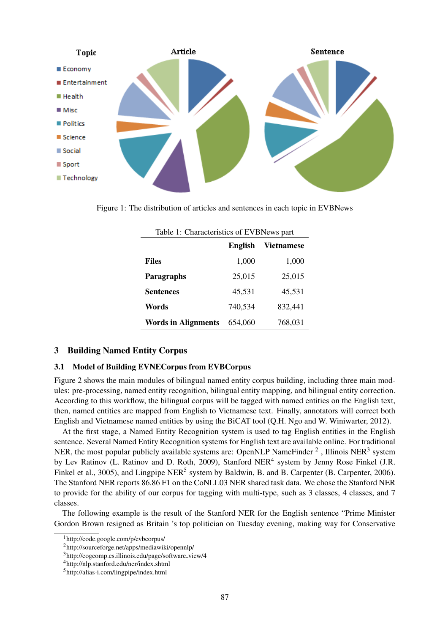

Figure 1: The distribution of articles and sentences in each topic in EVBNews

|                            | Table 1: Characteristics of EVBNews part |                   |  |
|----------------------------|------------------------------------------|-------------------|--|
|                            | English                                  | <b>Vietnamese</b> |  |
| <b>Files</b>               | 1,000                                    | 1,000             |  |
| <b>Paragraphs</b>          | 25,015                                   | 25,015            |  |
| <b>Sentences</b>           | 45,531                                   | 45,531            |  |
| Words                      | 740,534                                  | 832,441           |  |
| <b>Words in Alignments</b> | 654,060                                  | 768,031           |  |

# 3 Building Named Entity Corpus

#### 3.1 Model of Building EVNECorpus from EVBCorpus

Figure 2 shows the main modules of bilingual named entity corpus building, including three main modules: pre-processing, named entity recognition, bilingual entity mapping, and bilingual entity correction. According to this workflow, the bilingual corpus will be tagged with named entities on the English text, then, named entities are mapped from English to Vietnamese text. Finally, annotators will correct both English and Vietnamese named entities by using the BiCAT tool (Q.H. Ngo and W. Winiwarter, 2012).

At the first stage, a Named Entity Recognition system is used to tag English entities in the English sentence. Several Named Entity Recognition systems for English text are available online. For traditional NER, the most popular publicly available systems are: OpenNLP NameFinder  $^2$  , Illinois NER<sup>3</sup> system by Lev Ratinov (L. Ratinov and D. Roth, 2009), Stanford NER<sup>4</sup> system by Jenny Rose Finkel (J.R. Finkel et al., 3005), and Lingpipe NER<sup>5</sup> system by Baldwin, B. and B. Carpenter (B. Carpenter, 2006). The Stanford NER reports 86.86 F1 on the CoNLL03 NER shared task data. We chose the Stanford NER to provide for the ability of our corpus for tagging with multi-type, such as 3 classes, 4 classes, and 7 classes.

The following example is the result of the Stanford NER for the English sentence "Prime Minister Gordon Brown resigned as Britain 's top politician on Tuesday evening, making way for Conservative

<sup>1</sup>http://code.google.com/p/evbcorpus/

<sup>2</sup>http://sourceforge.net/apps/mediawiki/opennlp/

<sup>3</sup>http://cogcomp.cs.illinois.edu/page/software view/4

<sup>4</sup>http://nlp.stanford.edu/ner/index.shtml

<sup>5</sup>http://alias-i.com/lingpipe/index.html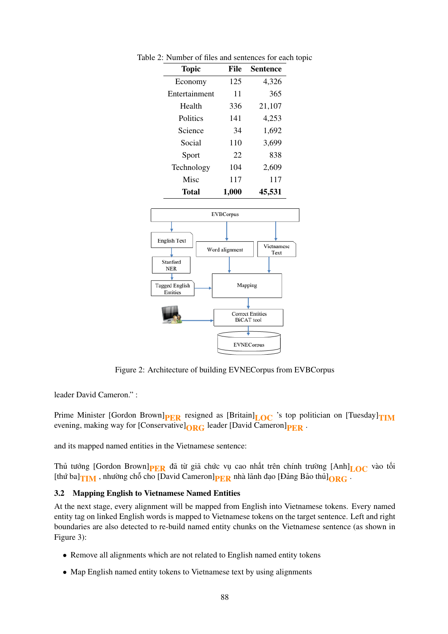| <b>Topic</b>  | File  | <b>Sentence</b> |
|---------------|-------|-----------------|
| Economy       | 125   | 4,326           |
| Entertainment | 11    | 365             |
| Health        | 336   | 21,107          |
| Politics      | 141   | 4,253           |
| Science       | 34    | 1,692           |
| Social        | 110   | 3,699           |
| Sport         | 22    | 838             |
| Technology    | 104   | 2,609           |
| Misc          | 117   | 117             |
| Total         | 1.000 | 45,531          |

Table 2: Number of files and sentences for each topic



Figure 2: Architecture of building EVNECorpus from EVBCorpus

leader David Cameron." :

Prime Minister [Gordon Brown] $PER$  resigned as [Britain] $LOC$  's top politician on [Tuesday] $TIM$ evening, making way for [Conservative] $_{\text{ORC}}$  leader [David Cameron] $_{\text{PRR}}$ .

and its mapped named entities in the Vietnamese sentence:

Thủ tướng [Gordon Brown] $_{PER}$  đã từ giã chức vụ cao nhất trên chính trường [Anh] $_{LOC}$  vào tối [thứ ba] $_{\text{THM}}$ , nhường chỗ cho [David Cameron] $_{\text{PER}}$  nhà lãnh đạo [Đảng Bảo thủ] $_{\text{ORG}}$ .

# 3.2 Mapping English to Vietnamese Named Entities

At the next stage, every alignment will be mapped from English into Vietnamese tokens. Every named entity tag on linked English words is mapped to Vietnamese tokens on the target sentence. Left and right boundaries are also detected to re-build named entity chunks on the Vietnamese sentence (as shown in Figure 3):

- Remove all alignments which are not related to English named entity tokens
- Map English named entity tokens to Vietnamese text by using alignments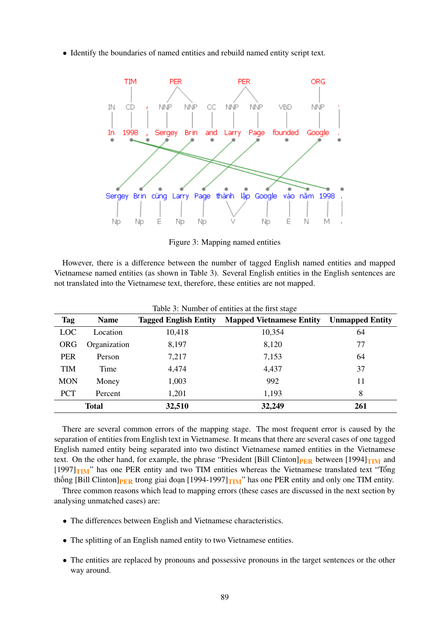• Identify the boundaries of named entities and rebuild named entity script text.



Figure 3: Mapping named entities

However, there is a difference between the number of tagged English named entities and mapped Vietnamese named entities (as shown in Table 3). Several English entities in the English sentences are not translated into the Vietnamese text, therefore, these entities are not mapped.

|            | Tuble 5: Thumour of emitted at the mot stage |                              |                                 |                        |  |
|------------|----------------------------------------------|------------------------------|---------------------------------|------------------------|--|
| <b>Tag</b> | <b>Name</b>                                  | <b>Tagged English Entity</b> | <b>Mapped Vietnamese Entity</b> | <b>Unmapped Entity</b> |  |
| LOC        | Location                                     | 10,418                       | 10,354                          | 64                     |  |
| <b>ORG</b> | Organization                                 | 8,197                        | 8,120                           | 77                     |  |
| <b>PER</b> | Person                                       | 7,217                        | 7,153                           | 64                     |  |
| <b>TIM</b> | Time                                         | 4,474                        | 4,437                           | 37                     |  |
| <b>MON</b> | Money                                        | 1,003                        | 992                             | 11                     |  |
| <b>PCT</b> | Percent                                      | 1,201                        | 1,193                           | 8                      |  |
|            | <b>Total</b>                                 | 32,510                       | 32,249                          | 261                    |  |

Table 3: Number of entities at the first stage

There are several common errors of the mapping stage. The most frequent error is caused by the separation of entities from English text in Vietnamese. It means that there are several cases of one tagged English named entity being separated into two distinct Vietnamese named entities in the Vietnamese text. On the other hand, for example, the phrase "President [Bill Clinton] $_{\rm PER}$  between [1994] $_{\rm TIM}$  and  $[1997]$ TIM" has one PER entity and two TIM entities whereas the Vietnamese translated text "Tổng" thống [Bill Clinton] $_{PER}$  trong giai đoạn [1994-1997] $_{TIM}$ " has one PER entity and only one TIM entity.

Three common reasons which lead to mapping errors (these cases are discussed in the next section by analysing unmatched cases) are:

- The differences between English and Vietnamese characteristics.
- The splitting of an English named entity to two Vietnamese entities.
- The entities are replaced by pronouns and possessive pronouns in the target sentences or the other way around.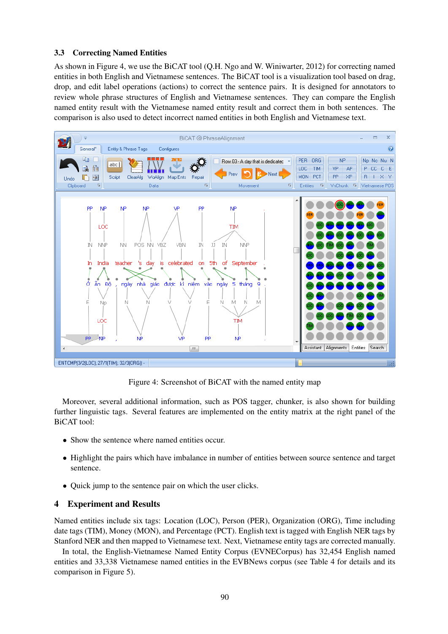# 3.3 Correcting Named Entities

As shown in Figure 4, we use the BiCAT tool (Q.H. Ngo and W. Winiwarter, 2012) for correcting named entities in both English and Vietnamese sentences. The BiCAT tool is a visualization tool based on drag, drop, and edit label operations (actions) to correct the sentence pairs. It is designed for annotators to review whole phrase structures of English and Vietnamese sentences. They can compare the English named entity result with the Vietnamese named entity result and correct them in both sentences. The comparison is also used to detect incorrect named entities in both English and Vietnamese text.



Figure 4: Screenshot of BiCAT with the named entity map

Moreover, several additional information, such as POS tagger, chunker, is also shown for building further linguistic tags. Several features are implemented on the entity matrix at the right panel of the BiCAT tool:

- Show the sentence where named entities occur.
- Highlight the pairs which have imbalance in number of entities between source sentence and target sentence.
- Quick jump to the sentence pair on which the user clicks.

# 4 Experiment and Results

Named entities include six tags: Location (LOC), Person (PER), Organization (ORG), Time including date tags (TIM), Money (MON), and Percentage (PCT). English text is tagged with English NER tags by Stanford NER and then mapped to Vietnamese text. Next, Vietnamese entity tags are corrected manually.

In total, the English-Vietnamese Named Entity Corpus (EVNECorpus) has 32,454 English named entities and 33,338 Vietnamese named entities in the EVBNews corpus (see Table 4 for details and its comparison in Figure 5).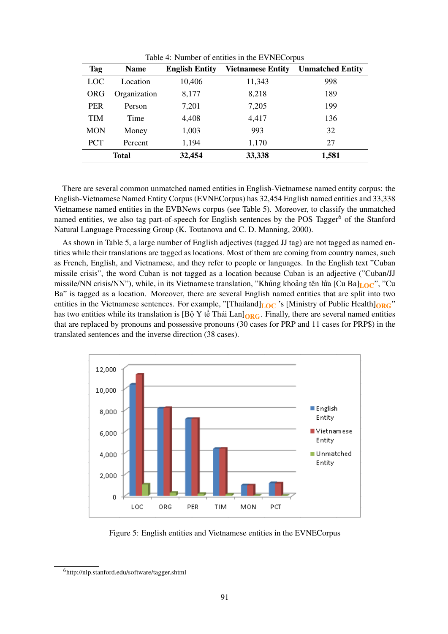| Table 4: Number of entities in the EVNECorpus |              |                       |                          |                         |
|-----------------------------------------------|--------------|-----------------------|--------------------------|-------------------------|
| Tag                                           | <b>Name</b>  | <b>English Entity</b> | <b>Vietnamese Entity</b> | <b>Unmatched Entity</b> |
| LOC                                           | Location     | 10,406                | 11,343                   | 998                     |
| ORG                                           | Organization | 8,177                 | 8,218                    | 189                     |
| <b>PER</b>                                    | Person       | 7,201                 | 7,205                    | 199                     |
| <b>TIM</b>                                    | Time         | 4,408                 | 4,417                    | 136                     |
| <b>MON</b>                                    | Money        | 1,003                 | 993                      | 32                      |
| <b>PCT</b>                                    | Percent      | 1,194                 | 1,170                    | 27                      |
|                                               | <b>Total</b> | 32,454                | 33,338                   | 1,581                   |

There are several common unmatched named entities in English-Vietnamese named entity corpus: the English-Vietnamese Named Entity Corpus (EVNECorpus) has 32,454 English named entities and 33,338 Vietnamese named entities in the EVBNews corpus (see Table 5). Moreover, to classify the unmatched named entities, we also tag part-of-speech for English sentences by the POS Tagger<sup>6</sup> of the Stanford Natural Language Processing Group (K. Toutanova and C. D. Manning, 2000).

As shown in Table 5, a large number of English adjectives (tagged JJ tag) are not tagged as named entities while their translations are tagged as locations. Most of them are coming from country names, such as French, English, and Vietnamese, and they refer to people or languages. In the English text "Cuban missile crisis", the word Cuban is not tagged as a location because Cuban is an adjective ("Cuban/JJ missile/NN crisis/NN"), while, in its Vietnamese translation, "Khủng khoảng tên lửa [Cu Ba]<sub>LOC</sub>", "Cu Ba" is tagged as a location. Moreover, there are several English named entities that are split into two entities in the Vietnamese sentences. For example, "[Thailand] $_{LOC}$  's [Ministry of Public Health] $_{ORG}$ " has two entities while its translation is [Bộ Y tế Thái Lan] $_{ORG}$ . Finally, there are several named entities that are replaced by pronouns and possessive pronouns (30 cases for PRP and 11 cases for PRP\$) in the translated sentences and the inverse direction (38 cases).



Figure 5: English entities and Vietnamese entities in the EVNECorpus

<sup>6</sup>http://nlp.stanford.edu/software/tagger.shtml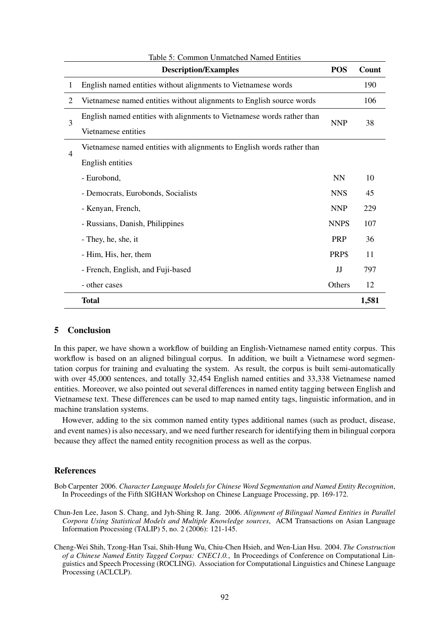|                          | <b>Description/Examples</b>                                            | <b>POS</b>  | Count |
|--------------------------|------------------------------------------------------------------------|-------------|-------|
| 1                        | English named entities without alignments to Vietnamese words          |             | 190   |
| 2                        | Vietnamese named entities without alignments to English source words   |             | 106   |
| 3                        | English named entities with alignments to Vietnamese words rather than |             | 38    |
|                          | Vietnamese entities                                                    | <b>NNP</b>  |       |
| $\overline{\mathcal{A}}$ | Vietnamese named entities with alignments to English words rather than |             |       |
|                          | English entities                                                       |             |       |
|                          | - Eurobond,                                                            | <b>NN</b>   | 10    |
|                          | - Democrats, Eurobonds, Socialists                                     | <b>NNS</b>  | 45    |
|                          | - Kenyan, French,                                                      | <b>NNP</b>  | 229   |
|                          | - Russians, Danish, Philippines                                        | <b>NNPS</b> | 107   |
|                          | - They, he, she, it                                                    | <b>PRP</b>  | 36    |
|                          | - Him, His, her, them                                                  | PRP\$       | 11    |
|                          | - French, English, and Fuji-based                                      | IJ          | 797   |
|                          | - other cases                                                          | Others      | 12    |
|                          | <b>Total</b>                                                           |             | 1,581 |

#### Table 5: Common Unmatched Named Entities

#### 5 Conclusion

In this paper, we have shown a workflow of building an English-Vietnamese named entity corpus. This workflow is based on an aligned bilingual corpus. In addition, we built a Vietnamese word segmentation corpus for training and evaluating the system. As result, the corpus is built semi-automatically with over 45,000 sentences, and totally 32,454 English named entities and 33,338 Vietnamese named entities. Moreover, we also pointed out several differences in named entity tagging between English and Vietnamese text. These differences can be used to map named entity tags, linguistic information, and in machine translation systems.

However, adding to the six common named entity types additional names (such as product, disease, and event names) is also necessary, and we need further research for identifying them in bilingual corpora because they affect the named entity recognition process as well as the corpus.

#### References

Bob Carpenter 2006. *Character Language Models for Chinese Word Segmentation and Named Entity Recognition*, In Proceedings of the Fifth SIGHAN Workshop on Chinese Language Processing, pp. 169-172.

Chun-Jen Lee, Jason S. Chang, and Jyh-Shing R. Jang. 2006. *Alignment of Bilingual Named Entities in Parallel Corpora Using Statistical Models and Multiple Knowledge sources*, ACM Transactions on Asian Language Information Processing (TALIP) 5, no. 2 (2006): 121-145.

Cheng-Wei Shih, Tzong-Han Tsai, Shih-Hung Wu, Chiu-Chen Hsieh, and Wen-Lian Hsu. 2004. *The Construction of a Chinese Named Entity Tagged Corpus: CNEC1.0.*, In Proceedings of Conference on Computational Linguistics and Speech Processing (ROCLING). Association for Computational Linguistics and Chinese Language Processing (ACLCLP).